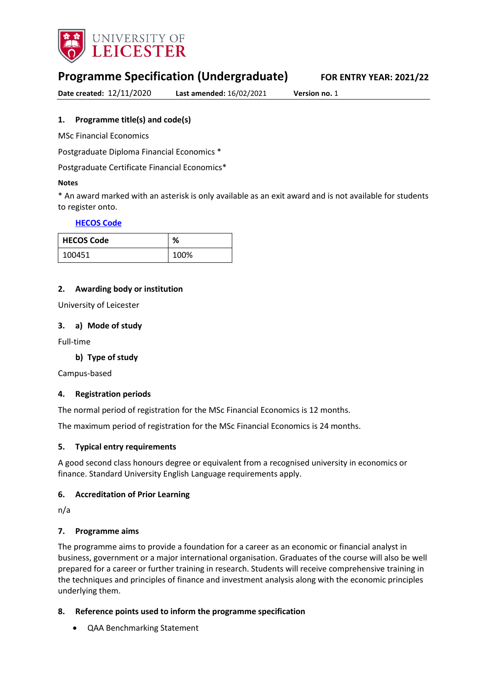

# **Programme Specification (Undergraduate) FOR ENTRY YEAR: 2021/22**

**Date created:** 12/11/2020 **Last amended:** 16/02/2021 **Version no.** 1

### <span id="page-0-0"></span>**1. Programme title(s) and code(s)**

MSc Financial Economics

Postgraduate Diploma Financial Economics \*

Postgraduate Certificate Financial Economics\*

#### **Notes**

\* An award marked with an asterisk is only available as an exit award and is not available for students to register onto.

### **[HECOS Code](https://www.hesa.ac.uk/innovation/hecos)**

| <b>HECOS Code</b> | %    |
|-------------------|------|
| 100451            | 100% |

### **2. Awarding body or institution**

University of Leicester

### **3. a) Mode of study**

Full-time

### **b) Type of study**

Campus-based

### **4. Registration periods**

The normal period of registration for the MSc Financial Economics is 12 months.

The maximum period of registration for the MSc Financial Economics is 24 months.

### **5. Typical entry requirements**

A good second class honours degree or equivalent from a recognised university in economics or finance. Standard University English Language requirements apply.

### **6. Accreditation of Prior Learning**

n/a

### **7. Programme aims**

The programme aims to provide a foundation for a career as an economic or financial analyst in business, government or a major international organisation. Graduates of the course will also be well prepared for a career or further training in research. Students will receive comprehensive training in the techniques and principles of finance and investment analysis along with the economic principles underlying them.

### **8. Reference points used to inform the programme specification**

QAA Benchmarking Statement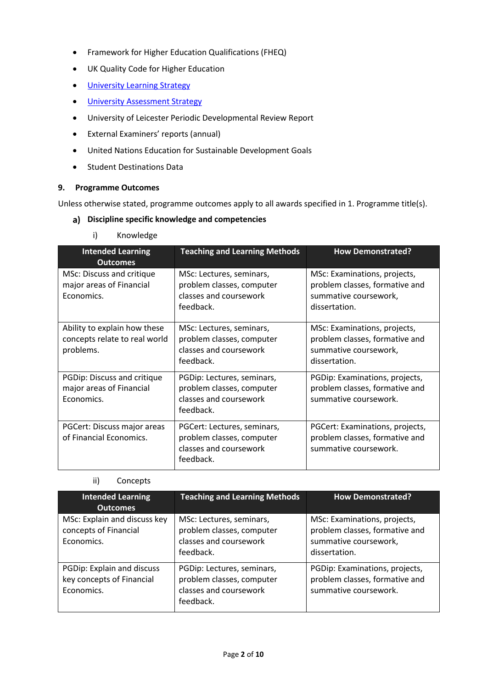- Framework for Higher Education Qualifications (FHEQ)
- UK Quality Code for Higher Education
- **.** [University Learning](https://www2.le.ac.uk/offices/sas2/quality/learnteach) Strategy
- **.** [University Assessment Strategy](https://www2.le.ac.uk/offices/sas2/quality/learnteach)
- University of Leicester Periodic Developmental Review Report
- External Examiners' reports (annual)
- United Nations Education for Sustainable Development Goals
- Student Destinations Data

### **9. Programme Outcomes**

Unless otherwise stated, programme outcomes apply to all awards specified in [1.](#page-0-0) Programme title(s).

### **Discipline specific knowledge and competencies**

i) Knowledge

| <b>Intended Learning</b><br><b>Outcomes</b>                                | <b>Teaching and Learning Methods</b>                                                            | <b>How Demonstrated?</b>                                                                                 |
|----------------------------------------------------------------------------|-------------------------------------------------------------------------------------------------|----------------------------------------------------------------------------------------------------------|
| MSc: Discuss and critique<br>major areas of Financial<br>Economics.        | MSc: Lectures, seminars,<br>problem classes, computer<br>classes and coursework<br>feedback.    | MSc: Examinations, projects,<br>problem classes, formative and<br>summative coursework,<br>dissertation. |
| Ability to explain how these<br>concepts relate to real world<br>problems. | MSc: Lectures, seminars,<br>problem classes, computer<br>classes and coursework<br>feedback.    | MSc: Examinations, projects,<br>problem classes, formative and<br>summative coursework,<br>dissertation. |
| PGDip: Discuss and critique<br>major areas of Financial<br>Economics.      | PGDip: Lectures, seminars,<br>problem classes, computer<br>classes and coursework<br>feedback.  | PGDip: Examinations, projects,<br>problem classes, formative and<br>summative coursework.                |
| PGCert: Discuss major areas<br>of Financial Economics.                     | PGCert: Lectures, seminars,<br>problem classes, computer<br>classes and coursework<br>feedback. | PGCert: Examinations, projects,<br>problem classes, formative and<br>summative coursework.               |

## ii) Concepts

| <b>Intended Learning</b><br><b>Outcomes</b>                           | <b>Teaching and Learning Methods</b>                                                           | <b>How Demonstrated?</b>                                                                                 |
|-----------------------------------------------------------------------|------------------------------------------------------------------------------------------------|----------------------------------------------------------------------------------------------------------|
| MSc: Explain and discuss key<br>concepts of Financial<br>Economics.   | MSc: Lectures, seminars,<br>problem classes, computer<br>classes and coursework<br>feedback.   | MSc: Examinations, projects,<br>problem classes, formative and<br>summative coursework,<br>dissertation. |
| PGDip: Explain and discuss<br>key concepts of Financial<br>Economics. | PGDip: Lectures, seminars,<br>problem classes, computer<br>classes and coursework<br>feedback. | PGDip: Examinations, projects,<br>problem classes, formative and<br>summative coursework.                |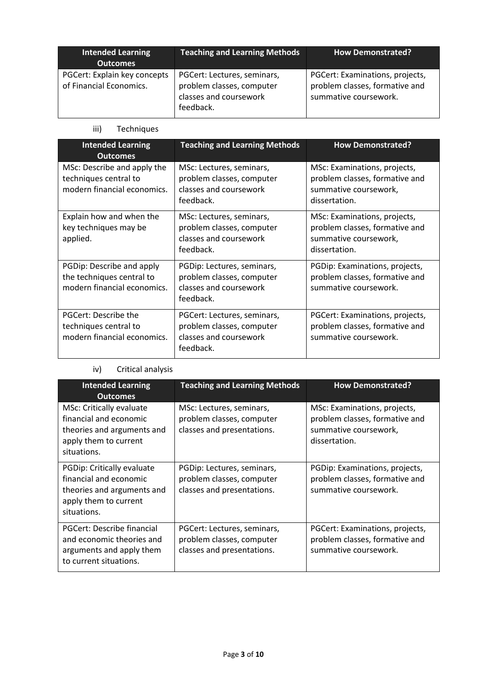| <b>Intended Learning</b><br><b>Outcomes</b>             | <b>Teaching and Learning Methods</b>                                                            | <b>How Demonstrated?</b>                                                                   |
|---------------------------------------------------------|-------------------------------------------------------------------------------------------------|--------------------------------------------------------------------------------------------|
| PGCert: Explain key concepts<br>of Financial Economics. | PGCert: Lectures, seminars,<br>problem classes, computer<br>classes and coursework<br>feedback. | PGCert: Examinations, projects,<br>problem classes, formative and<br>summative coursework. |

### iii) Techniques

| <b>Intended Learning</b><br><b>Outcomes</b>                                           | <b>Teaching and Learning Methods</b>                                                            | <b>How Demonstrated?</b>                                                                                 |
|---------------------------------------------------------------------------------------|-------------------------------------------------------------------------------------------------|----------------------------------------------------------------------------------------------------------|
| MSc: Describe and apply the<br>techniques central to<br>modern financial economics.   | MSc: Lectures, seminars,<br>problem classes, computer<br>classes and coursework<br>feedback.    | MSc: Examinations, projects,<br>problem classes, formative and<br>summative coursework,<br>dissertation. |
| Explain how and when the<br>key techniques may be<br>applied.                         | MSc: Lectures, seminars,<br>problem classes, computer<br>classes and coursework<br>feedback.    | MSc: Examinations, projects,<br>problem classes, formative and<br>summative coursework,<br>dissertation. |
| PGDip: Describe and apply<br>the techniques central to<br>modern financial economics. | PGDip: Lectures, seminars,<br>problem classes, computer<br>classes and coursework<br>feedback.  | PGDip: Examinations, projects,<br>problem classes, formative and<br>summative coursework.                |
| PGCert: Describe the<br>techniques central to<br>modern financial economics.          | PGCert: Lectures, seminars,<br>problem classes, computer<br>classes and coursework<br>feedback. | PGCert: Examinations, projects,<br>problem classes, formative and<br>summative coursework.               |

# iv) Critical analysis

| <b>Intended Learning</b><br><b>Outcomes</b>                                                                                     | <b>Teaching and Learning Methods</b>                                                   | <b>How Demonstrated?</b>                                                                                 |
|---------------------------------------------------------------------------------------------------------------------------------|----------------------------------------------------------------------------------------|----------------------------------------------------------------------------------------------------------|
| <b>MSc: Critically evaluate</b><br>financial and economic<br>theories and arguments and<br>apply them to current<br>situations. | MSc: Lectures, seminars,<br>problem classes, computer<br>classes and presentations.    | MSc: Examinations, projects,<br>problem classes, formative and<br>summative coursework,<br>dissertation. |
| PGDip: Critically evaluate<br>financial and economic<br>theories and arguments and<br>apply them to current<br>situations.      | PGDip: Lectures, seminars,<br>problem classes, computer<br>classes and presentations.  | PGDip: Examinations, projects,<br>problem classes, formative and<br>summative coursework.                |
| PGCert: Describe financial<br>and economic theories and<br>arguments and apply them<br>to current situations.                   | PGCert: Lectures, seminars,<br>problem classes, computer<br>classes and presentations. | PGCert: Examinations, projects,<br>problem classes, formative and<br>summative coursework.               |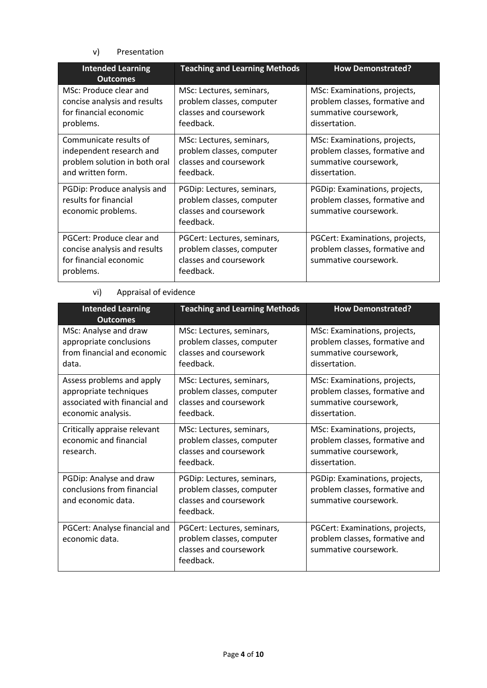### v) Presentation

| <b>Intended Learning</b><br><b>Outcomes</b>                                                              | <b>Teaching and Learning Methods</b>                                                            | <b>How Demonstrated?</b>                                                                                 |
|----------------------------------------------------------------------------------------------------------|-------------------------------------------------------------------------------------------------|----------------------------------------------------------------------------------------------------------|
| MSc: Produce clear and<br>concise analysis and results<br>for financial economic<br>problems.            | MSc: Lectures, seminars,<br>problem classes, computer<br>classes and coursework<br>feedback.    | MSc: Examinations, projects,<br>problem classes, formative and<br>summative coursework,<br>dissertation. |
| Communicate results of<br>independent research and<br>problem solution in both oral<br>and written form. | MSc: Lectures, seminars,<br>problem classes, computer<br>classes and coursework<br>feedback.    | MSc: Examinations, projects,<br>problem classes, formative and<br>summative coursework,<br>dissertation. |
| PGDip: Produce analysis and<br>results for financial<br>economic problems.                               | PGDip: Lectures, seminars,<br>problem classes, computer<br>classes and coursework<br>feedback.  | PGDip: Examinations, projects,<br>problem classes, formative and<br>summative coursework.                |
| PGCert: Produce clear and<br>concise analysis and results<br>for financial economic<br>problems.         | PGCert: Lectures, seminars,<br>problem classes, computer<br>classes and coursework<br>feedback. | PGCert: Examinations, projects,<br>problem classes, formative and<br>summative coursework.               |

# vi) Appraisal of evidence

| <b>Intended Learning</b><br><b>Outcomes</b>                                                                | <b>Teaching and Learning Methods</b>                                                            | <b>How Demonstrated?</b>                                                                                 |
|------------------------------------------------------------------------------------------------------------|-------------------------------------------------------------------------------------------------|----------------------------------------------------------------------------------------------------------|
| MSc: Analyse and draw<br>appropriate conclusions<br>from financial and economic<br>data.                   | MSc: Lectures, seminars,<br>problem classes, computer<br>classes and coursework<br>feedback.    | MSc: Examinations, projects,<br>problem classes, formative and<br>summative coursework,<br>dissertation. |
| Assess problems and apply<br>appropriate techniques<br>associated with financial and<br>economic analysis. | MSc: Lectures, seminars,<br>problem classes, computer<br>classes and coursework<br>feedback.    | MSc: Examinations, projects,<br>problem classes, formative and<br>summative coursework,<br>dissertation. |
| Critically appraise relevant<br>economic and financial<br>research.                                        | MSc: Lectures, seminars,<br>problem classes, computer<br>classes and coursework<br>feedback.    | MSc: Examinations, projects,<br>problem classes, formative and<br>summative coursework,<br>dissertation. |
| PGDip: Analyse and draw<br>conclusions from financial<br>and economic data.                                | PGDip: Lectures, seminars,<br>problem classes, computer<br>classes and coursework<br>feedback.  | PGDip: Examinations, projects,<br>problem classes, formative and<br>summative coursework.                |
| PGCert: Analyse financial and<br>economic data.                                                            | PGCert: Lectures, seminars,<br>problem classes, computer<br>classes and coursework<br>feedback. | PGCert: Examinations, projects,<br>problem classes, formative and<br>summative coursework.               |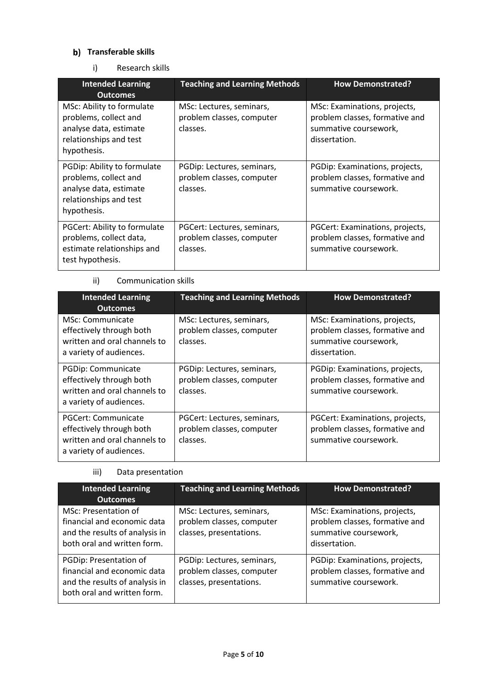# **b)** Transferable skills

i) Research skills

| <b>Intended Learning</b><br><b>Outcomes</b>                                                                             | <b>Teaching and Learning Methods</b>                                 | <b>How Demonstrated?</b>                                                                                 |
|-------------------------------------------------------------------------------------------------------------------------|----------------------------------------------------------------------|----------------------------------------------------------------------------------------------------------|
| MSc: Ability to formulate<br>problems, collect and<br>analyse data, estimate<br>relationships and test<br>hypothesis.   | MSc: Lectures, seminars,<br>problem classes, computer<br>classes.    | MSc: Examinations, projects,<br>problem classes, formative and<br>summative coursework,<br>dissertation. |
| PGDip: Ability to formulate<br>problems, collect and<br>analyse data, estimate<br>relationships and test<br>hypothesis. | PGDip: Lectures, seminars,<br>problem classes, computer<br>classes.  | PGDip: Examinations, projects,<br>problem classes, formative and<br>summative coursework.                |
| PGCert: Ability to formulate<br>problems, collect data,<br>estimate relationships and<br>test hypothesis.               | PGCert: Lectures, seminars,<br>problem classes, computer<br>classes. | PGCert: Examinations, projects,<br>problem classes, formative and<br>summative coursework.               |

### ii) Communication skills

| <b>Intended Learning</b><br><b>Outcomes</b>                                                                | <b>Teaching and Learning Methods</b>                                 | <b>How Demonstrated?</b>                                                                                 |
|------------------------------------------------------------------------------------------------------------|----------------------------------------------------------------------|----------------------------------------------------------------------------------------------------------|
| MSc: Communicate<br>effectively through both<br>written and oral channels to<br>a variety of audiences.    | MSc: Lectures, seminars,<br>problem classes, computer<br>classes.    | MSc: Examinations, projects,<br>problem classes, formative and<br>summative coursework,<br>dissertation. |
| PGDip: Communicate<br>effectively through both<br>written and oral channels to<br>a variety of audiences.  | PGDip: Lectures, seminars,<br>problem classes, computer<br>classes.  | PGDip: Examinations, projects,<br>problem classes, formative and<br>summative coursework.                |
| PGCert: Communicate<br>effectively through both<br>written and oral channels to<br>a variety of audiences. | PGCert: Lectures, seminars,<br>problem classes, computer<br>classes. | PGCert: Examinations, projects,<br>problem classes, formative and<br>summative coursework.               |

# iii) Data presentation

| <b>Intended Learning</b><br><b>Outcomes</b>                                                                            | <b>Teaching and Learning Methods</b>                                               | <b>How Demonstrated?</b>                                                                                 |
|------------------------------------------------------------------------------------------------------------------------|------------------------------------------------------------------------------------|----------------------------------------------------------------------------------------------------------|
| MSc: Presentation of<br>financial and economic data<br>and the results of analysis in<br>both oral and written form.   | MSc: Lectures, seminars,<br>problem classes, computer<br>classes, presentations.   | MSc: Examinations, projects,<br>problem classes, formative and<br>summative coursework,<br>dissertation. |
| PGDip: Presentation of<br>financial and economic data<br>and the results of analysis in<br>both oral and written form. | PGDip: Lectures, seminars,<br>problem classes, computer<br>classes, presentations. | PGDip: Examinations, projects,<br>problem classes, formative and<br>summative coursework.                |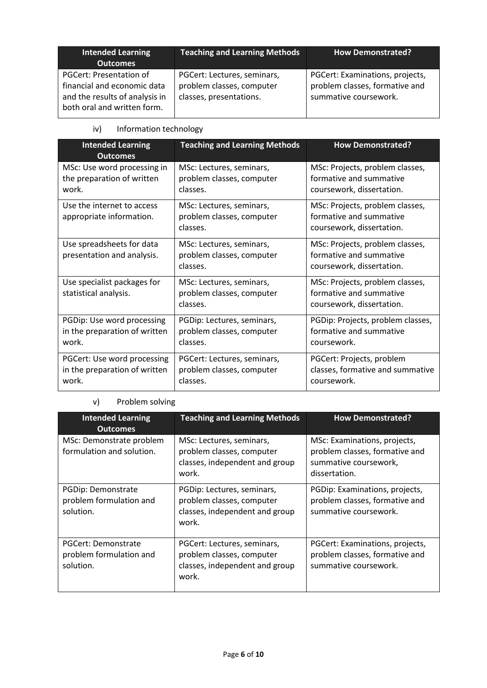| Intended Learning<br><b>Outcomes</b>                                                                                    | <b>Teaching and Learning Methods</b>                                                | <b>How Demonstrated?</b>                                                                   |
|-------------------------------------------------------------------------------------------------------------------------|-------------------------------------------------------------------------------------|--------------------------------------------------------------------------------------------|
| PGCert: Presentation of<br>financial and economic data<br>and the results of analysis in<br>both oral and written form. | PGCert: Lectures, seminars,<br>problem classes, computer<br>classes, presentations. | PGCert: Examinations, projects,<br>problem classes, formative and<br>summative coursework. |

## iv) Information technology

| <b>Intended Learning</b><br><b>Outcomes</b>                           | <b>Teaching and Learning Methods</b>                                 | <b>How Demonstrated?</b>                                                                |
|-----------------------------------------------------------------------|----------------------------------------------------------------------|-----------------------------------------------------------------------------------------|
| MSc: Use word processing in<br>the preparation of written<br>work.    | MSc: Lectures, seminars,<br>problem classes, computer<br>classes.    | MSc: Projects, problem classes,<br>formative and summative<br>coursework, dissertation. |
| Use the internet to access<br>appropriate information.                | MSc: Lectures, seminars,<br>problem classes, computer<br>classes.    | MSc: Projects, problem classes,<br>formative and summative<br>coursework, dissertation. |
| Use spreadsheets for data<br>presentation and analysis.               | MSc: Lectures, seminars,<br>problem classes, computer<br>classes.    | MSc: Projects, problem classes,<br>formative and summative<br>coursework, dissertation. |
| Use specialist packages for<br>statistical analysis.                  | MSc: Lectures, seminars,<br>problem classes, computer<br>classes.    | MSc: Projects, problem classes,<br>formative and summative<br>coursework, dissertation. |
| PGDip: Use word processing<br>in the preparation of written<br>work.  | PGDip: Lectures, seminars,<br>problem classes, computer<br>classes.  | PGDip: Projects, problem classes,<br>formative and summative<br>coursework.             |
| PGCert: Use word processing<br>in the preparation of written<br>work. | PGCert: Lectures, seminars,<br>problem classes, computer<br>classes. | PGCert: Projects, problem<br>classes, formative and summative<br>coursework.            |

# v) Problem solving

| <b>Intended Learning</b><br><b>Outcomes</b>                 | <b>Teaching and Learning Methods</b>                                                                | <b>How Demonstrated?</b>                                                                                 |
|-------------------------------------------------------------|-----------------------------------------------------------------------------------------------------|----------------------------------------------------------------------------------------------------------|
| MSc: Demonstrate problem<br>formulation and solution.       | MSc: Lectures, seminars,<br>problem classes, computer<br>classes, independent and group<br>work.    | MSc: Examinations, projects,<br>problem classes, formative and<br>summative coursework,<br>dissertation. |
| PGDip: Demonstrate<br>problem formulation and<br>solution.  | PGDip: Lectures, seminars,<br>problem classes, computer<br>classes, independent and group<br>work.  | PGDip: Examinations, projects,<br>problem classes, formative and<br>summative coursework.                |
| PGCert: Demonstrate<br>problem formulation and<br>solution. | PGCert: Lectures, seminars,<br>problem classes, computer<br>classes, independent and group<br>work. | PGCert: Examinations, projects,<br>problem classes, formative and<br>summative coursework.               |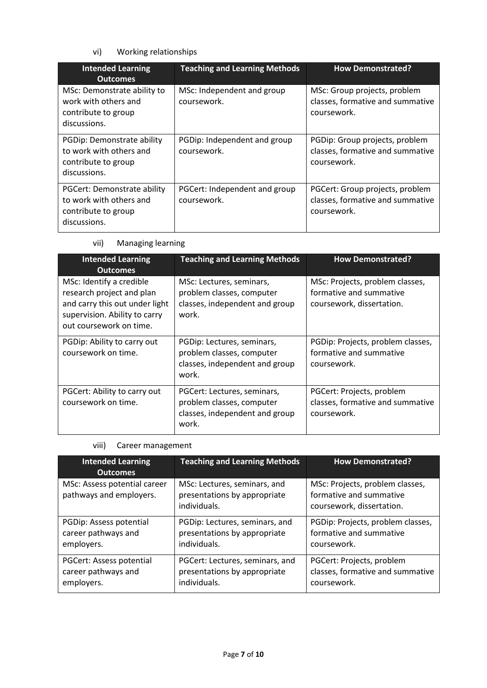# vi) Working relationships

| <b>Intended Learning</b><br><b>Outcomes</b>                                                   | <b>Teaching and Learning Methods</b>         | <b>How Demonstrated?</b>                                                           |
|-----------------------------------------------------------------------------------------------|----------------------------------------------|------------------------------------------------------------------------------------|
| MSc: Demonstrate ability to<br>work with others and<br>contribute to group<br>discussions.    | MSc: Independent and group<br>coursework.    | MSc: Group projects, problem<br>classes, formative and summative<br>coursework.    |
| PGDip: Demonstrate ability<br>to work with others and<br>contribute to group<br>discussions.  | PGDip: Independent and group<br>coursework.  | PGDip: Group projects, problem<br>classes, formative and summative<br>coursework.  |
| PGCert: Demonstrate ability<br>to work with others and<br>contribute to group<br>discussions. | PGCert: Independent and group<br>coursework. | PGCert: Group projects, problem<br>classes, formative and summative<br>coursework. |

### vii) Managing learning

| <b>Intended Learning</b><br><b>Outcomes</b>                                                                                                         | <b>Teaching and Learning Methods</b>                                                                | <b>How Demonstrated?</b>                                                                |
|-----------------------------------------------------------------------------------------------------------------------------------------------------|-----------------------------------------------------------------------------------------------------|-----------------------------------------------------------------------------------------|
| MSc: Identify a credible<br>research project and plan<br>and carry this out under light<br>supervision. Ability to carry<br>out coursework on time. | MSc: Lectures, seminars,<br>problem classes, computer<br>classes, independent and group<br>work.    | MSc: Projects, problem classes,<br>formative and summative<br>coursework, dissertation. |
| PGDip: Ability to carry out<br>coursework on time.                                                                                                  | PGDip: Lectures, seminars,<br>problem classes, computer<br>classes, independent and group<br>work.  | PGDip: Projects, problem classes,<br>formative and summative<br>coursework.             |
| PGCert: Ability to carry out<br>coursework on time.                                                                                                 | PGCert: Lectures, seminars,<br>problem classes, computer<br>classes, independent and group<br>work. | PGCert: Projects, problem<br>classes, formative and summative<br>coursework.            |

### viii) Career management

| <b>Intended Learning</b><br><b>Outcomes</b>             | <b>Teaching and Learning Methods</b>                                         | <b>How Demonstrated?</b>                                                                |
|---------------------------------------------------------|------------------------------------------------------------------------------|-----------------------------------------------------------------------------------------|
| MSc: Assess potential career<br>pathways and employers. | MSc: Lectures, seminars, and<br>presentations by appropriate<br>individuals. | MSc: Projects, problem classes,<br>formative and summative<br>coursework, dissertation. |
| PGDip: Assess potential                                 | PGDip: Lectures, seminars, and                                               | PGDip: Projects, problem classes,                                                       |
| career pathways and                                     | presentations by appropriate                                                 | formative and summative                                                                 |
| employers.                                              | individuals.                                                                 | coursework.                                                                             |
| PGCert: Assess potential                                | PGCert: Lectures, seminars, and                                              | PGCert: Projects, problem                                                               |
| career pathways and                                     | presentations by appropriate                                                 | classes, formative and summative                                                        |
| employers.                                              | individuals.                                                                 | coursework.                                                                             |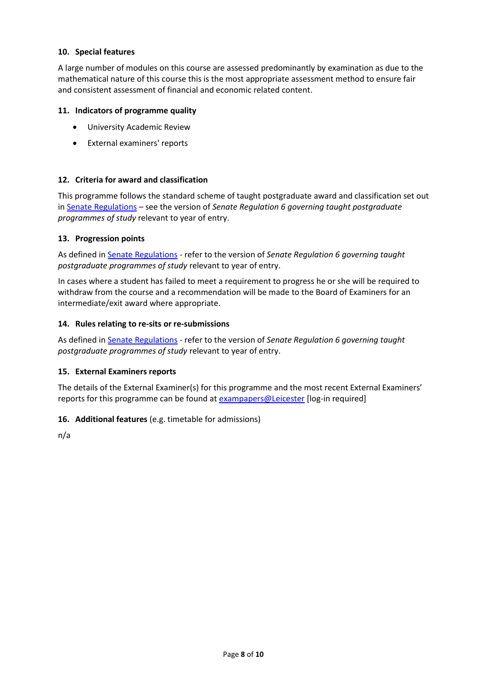### **10. Special features**

A large number of modules on this course are assessed predominantly by examination as due to the mathematical nature of this course this is the most appropriate assessment method to ensure fair and consistent assessment of financial and economic related content.

### **11. Indicators of programme quality**

- University Academic Review
- External examiners' reports

### **12. Criteria for award and classification**

This programme follows the standard scheme of taught postgraduate award and classification set out i[n Senate Regulations](http://www.le.ac.uk/senate-regulations) – see the version of *Senate Regulation 6 governing taught postgraduate programmes of study* relevant to year of entry.

### **13. Progression points**

As defined i[n Senate Regulations](http://www.le.ac.uk/senate-regulation6) - refer to the version of *Senate Regulation 6 governing taught postgraduate programmes of study* relevant to year of entry.

In cases where a student has failed to meet a requirement to progress he or she will be required to withdraw from the course and a recommendation will be made to the Board of Examiners for an intermediate/exit award where appropriate.

### **14. Rules relating to re-sits or re-submissions**

As defined i[n Senate Regulations](http://www.le.ac.uk/senate-regulation6) - refer to the version of *Senate Regulation 6 governing taught postgraduate programmes of study* relevant to year of entry.

### **15. External Examiners reports**

The details of the External Examiner(s) for this programme and the most recent External Examiners' reports for this programme can be found at [exampapers@Leicester](https://exampapers.le.ac.uk/) [log-in required]

### **16. Additional features** (e.g. timetable for admissions)

n/a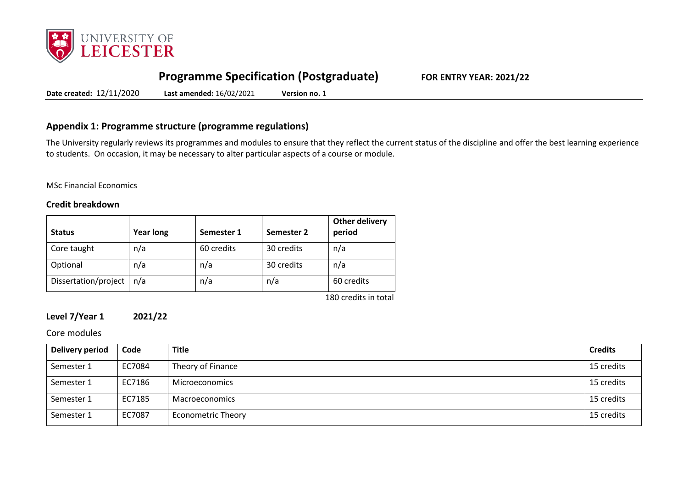

# **Programme Specification (Postgraduate) FOR ENTRY YEAR: 2021/22**

**Date created:** 12/11/2020 **Last amended:** 16/02/2021 **Version no.** 1

# **Appendix 1: Programme structure (programme regulations)**

The University regularly reviews its programmes and modules to ensure that they reflect the current status of the discipline and offer the best learning experience to students. On occasion, it may be necessary to alter particular aspects of a course or module.

### MSc Financial Economics

### **Credit breakdown**

| <b>Status</b>        | <b>Year long</b> | Semester 1 | Semester 2 | Other delivery<br>period |
|----------------------|------------------|------------|------------|--------------------------|
| Core taught          | n/a              | 60 credits | 30 credits | n/a                      |
| Optional             | n/a              | n/a        | 30 credits | n/a                      |
| Dissertation/project | n/a              | n/a        | n/a        | 60 credits               |

180 credits in total

## **Level 7/Year 1 2021/22**

Core modules

| Delivery period | Code   | <b>Title</b>              | <b>Credits</b> |
|-----------------|--------|---------------------------|----------------|
| Semester 1      | EC7084 | Theory of Finance         | 15 credits     |
| Semester 1      | EC7186 | Microeconomics            | 15 credits     |
| Semester 1      | EC7185 | Macroeconomics            | 15 credits     |
| Semester 1      | EC7087 | <b>Econometric Theory</b> | 15 credits     |